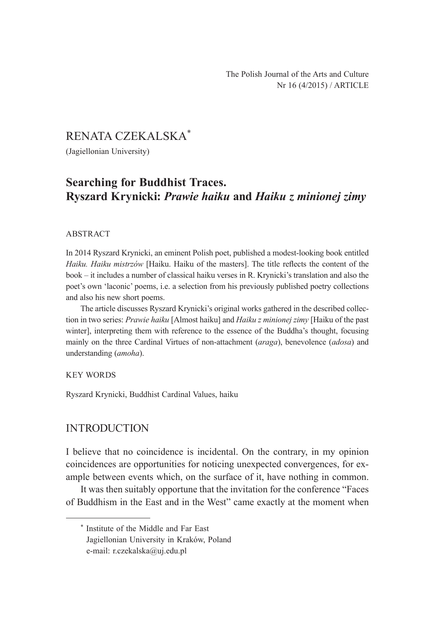# RENATA CZEKALSKA\*

(Jagiellonian University)

# **Searching for Buddhist Traces. Ryszard Krynicki:** *Prawie haiku* **and** *Haiku z minionej zimy*

#### ABSTRACT

In 2014 Ryszard Krynicki, an eminent Polish poet, published a modest-looking book entitled *Haiku. Haiku mistrzów* [Haiku. Haiku of the masters]. The title reflects the content of the book – it includes a number of classical haiku verses in R. Krynicki's translation and also the poet's own 'laconic' poems, i.e. a selection from his previously published poetry collections and also his new short poems.

The article discusses Ryszard Krynicki's original works gathered in the described collection in two series: *Prawie haiku* [Almost haiku] and *Haiku z minionej zimy* [Haiku of the past winter], interpreting them with reference to the essence of the Buddha's thought, focusing mainly on the three Cardinal Virtues of non-attachment (*araga*), benevolence (*adosa*) and understanding (*amoha*).

#### KEY WORDS

Ryszard Krynicki, Buddhist Cardinal Values, haiku

### INTRODUCTION

I believe that no coincidence is incidental. On the contrary, in my opinion coincidences are opportunities for noticing unexpected convergences, for example between events which, on the surface of it, have nothing in common.

It was then suitably opportune that the invitation for the conference "Faces of Buddhism in the East and in the West" came exactly at the moment when

<sup>\*</sup> Institute of the Middle and Far East Jagiellonian University in Kraków, Poland e-mail: r.czekalska@uj.edu.pl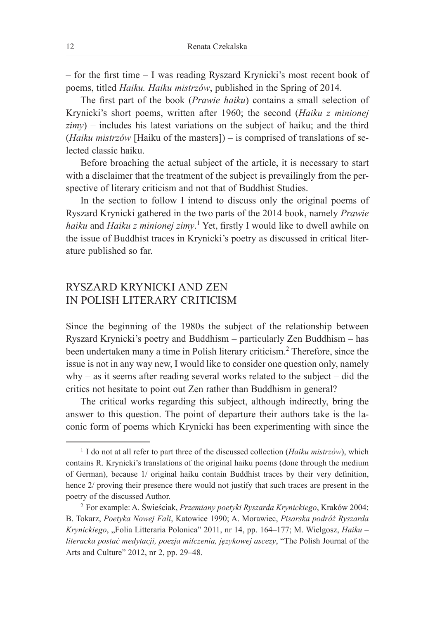– for the first time – I was reading Ryszard Krynicki's most recent book of poems, titled *Haiku. Haiku mistrzów*, published in the Spring of 2014.

The first part of the book (*Prawie haiku*) contains a small selection of Krynicki's short poems, written after 1960; the second (*Haiku z minionej zimy*) – includes his latest variations on the subject of haiku; and the third (*Haiku mistrzów* [Haiku of the masters]) – is comprised of translations of selected classic haiku.

Before broaching the actual subject of the article, it is necessary to start with a disclaimer that the treatment of the subject is prevailingly from the perspective of literary criticism and not that of Buddhist Studies.

In the section to follow I intend to discuss only the original poems of Ryszard Krynicki gathered in the two parts of the 2014 book, namely *Prawie haiku* and *Haiku z minionej zimy*. 1 Yet, firstly I would like to dwell awhile on the issue of Buddhist traces in Krynicki's poetry as discussed in critical literature published so far.

### RYSZARD KRYNICKI AND ZEN IN POLISH LITERARY CRITICISM

Since the beginning of the 1980s the subject of the relationship between Ryszard Krynicki's poetry and Buddhism – particularly Zen Buddhism – has been undertaken many a time in Polish literary criticism.<sup>2</sup> Therefore, since the issue is not in any way new, I would like to consider one question only, namely why – as it seems after reading several works related to the subject – did the critics not hesitate to point out Zen rather than Buddhism in general?

The critical works regarding this subject, although indirectly, bring the answer to this question. The point of departure their authors take is the laconic form of poems which Krynicki has been experimenting with since the

<sup>1</sup> I do not at all refer to part three of the discussed collection (*Haiku mistrzów*), which contains R. Krynicki's translations of the original haiku poems (done through the medium of German), because 1/ original haiku contain Buddhist traces by their very definition, hence 2/ proving their presence there would not justify that such traces are present in the poetry of the discussed Author.

<sup>2</sup> For example: A. Świeściak, *Przemiany poetyki Ryszarda Krynickiego*, Kraków 2004; B. Tokarz, *Poetyka Nowej Fali*, Katowice 1990; A. Morawiec, *Pisarska podróż Ryszarda Krynickiego*, "Folia Litteraria Polonica" 2011, nr 14, pp. 164–177; M. Wielgosz, *Haiku* – *literacka postać medytacji, poezja milczenia, językowej ascezy*, "The Polish Journal of the Arts and Culture" 2012, nr 2, pp. 29–48.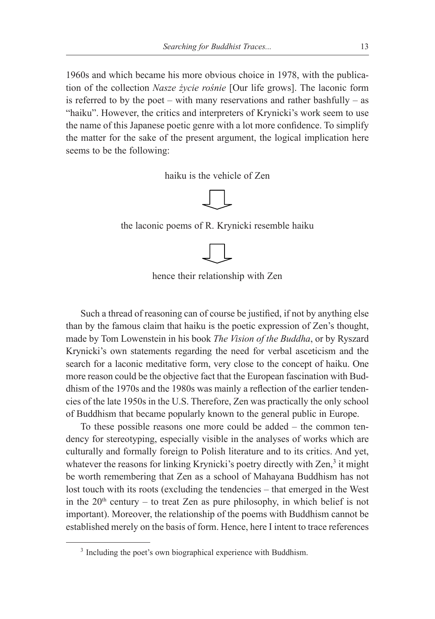1960s and which became his more obvious choice in 1978, with the publication of the collection *Nasze życie rośnie* [Our life grows]. The laconic form is referred to by the poet – with many reservations and rather bashfully – as "haiku". However, the critics and interpreters of Krynicki's work seem to use the name of this Japanese poetic genre with a lot more confidence. To simplify the matter for the sake of the present argument, the logical implication here seems to be the following:

haiku is the vehicle of Zen



the laconic poems of R. Krynicki resemble haiku



hence their relationship with Zen

Such a thread of reasoning can of course be justified, if not by anything else than by the famous claim that haiku is the poetic expression of Zen's thought, made by Tom Lowenstein in his book *The Vision of the Buddha*, or by Ryszard Krynicki's own statements regarding the need for verbal asceticism and the search for a laconic meditative form, very close to the concept of haiku. One more reason could be the objective fact that the European fascination with Buddhism of the 1970s and the 1980s was mainly a reflection of the earlier tendencies of the late 1950s in the U.S. Therefore, Zen was practically the only school of Buddhism that became popularly known to the general public in Europe.

To these possible reasons one more could be added – the common tendency for stereotyping, especially visible in the analyses of works which are culturally and formally foreign to Polish literature and to its critics. And yet, whatever the reasons for linking Krynicki's poetry directly with Zen, $3$  it might be worth remembering that Zen as a school of Mahayana Buddhism has not lost touch with its roots (excluding the tendencies – that emerged in the West in the  $20<sup>th</sup>$  century – to treat Zen as pure philosophy, in which belief is not important). Moreover, the relationship of the poems with Buddhism cannot be established merely on the basis of form. Hence, here I intent to trace references

<sup>&</sup>lt;sup>3</sup> Including the poet's own biographical experience with Buddhism.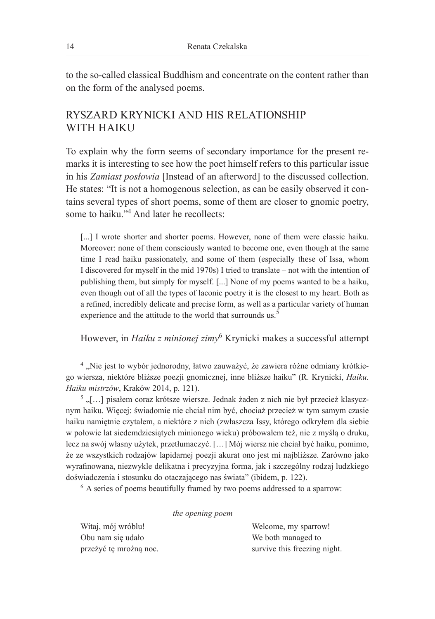to the so-called classical Buddhism and concentrate on the content rather than on the form of the analysed poems.

## RYSZARD KRYNICKI AND HIS RELATIONSHIP WITH HAIKU

To explain why the form seems of secondary importance for the present remarks it is interesting to see how the poet himself refers to this particular issue in his *Zamiast posłowia* [Instead of an afterword] to the discussed collection. He states: "It is not a homogenous selection, as can be easily observed it contains several types of short poems, some of them are closer to gnomic poetry, some to haiku."<sup>4</sup> And later he recollects:

[...] I wrote shorter and shorter poems. However, none of them were classic haiku. Moreover: none of them consciously wanted to become one, even though at the same time I read haiku passionately, and some of them (especially these of Issa, whom I discovered for myself in the mid 1970s) I tried to translate – not with the intention of publishing them, but simply for myself. [...] None of my poems wanted to be a haiku, even though out of all the types of laconic poetry it is the closest to my heart. Both as a refined, incredibly delicate and precise form, as well as a particular variety of human experience and the attitude to the world that surrounds us.<sup>5</sup>

However, in *Haiku z minionej zimy*<sup>6</sup> Krynicki makes a successful attempt

*the opening poem*

| Witaj, mój wróblu!     | Welcome, my sparrow!         |
|------------------------|------------------------------|
| Obu nam sie udało      | We both managed to           |
| przeżyć tę mroźną noc. | survive this freezing night. |

<sup>&</sup>lt;sup>4</sup> "Nie jest to wybór jednorodny, łatwo zauważyć, że zawiera różne odmiany krótkiego wiersza, niektóre bliższe poezji gnomicznej, inne bliższe haiku" (R. Krynicki, *Haiku. Haiku mistrzów*, Kraków 2014, p. 121).

 $\frac{5}{2}$ , [...] pisałem coraz krótsze wiersze. Jednak żaden z nich nie był przecież klasycznym haiku. Więcej: świadomie nie chciał nim być, chociaż przecież w tym samym czasie haiku namiętnie czytałem, a niektóre z nich (zwłaszcza Issy, którego odkryłem dla siebie w połowie lat siedemdziesiątych minionego wieku) próbowałem też, nie z myślą o druku, lecz na swój własny użytek, przetłumaczyć. […] Mój wiersz nie chciał być haiku, pomimo, że ze wszystkich rodzajów lapidarnej poezji akurat ono jest mi najbliższe. Zarówno jako wyrafinowana, niezwykle delikatna i precyzyjna forma, jak i szczególny rodzaj ludzkiego doświadczenia i stosunku do otaczającego nas świata" (ibidem, p. 122).

<sup>&</sup>lt;sup>6</sup> A series of poems beautifully framed by two poems addressed to a sparrow: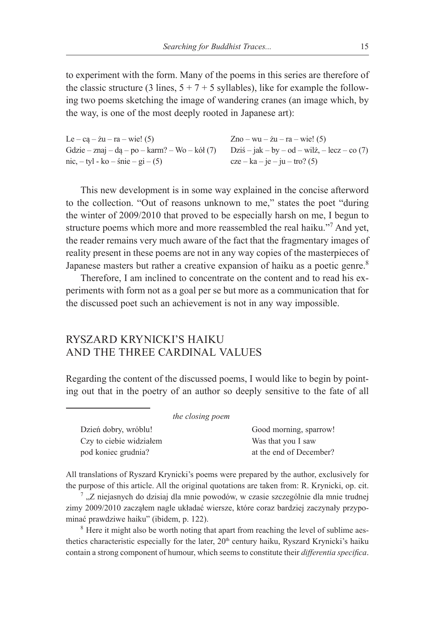to experiment with the form. Many of the poems in this series are therefore of the classic structure (3 lines,  $5 + 7 + 5$  syllables), like for example the following two poems sketching the image of wandering cranes (an image which, by the way, is one of the most deeply rooted in Japanese art):

Le – cą – żu – ra – wie!  $(5)$  $Gdzie - znaj - dq - po - karm? - Wo - kól (7)$ nic,  $-$  tyl - ko – śnie – gi – (5)  $Zno - wu - zu - ra - wie!$  (5) Dziś – jak – by – od – wilż, – lecz – co  $(7)$  $cze - ka - je - ju - tro? (5)$ 

This new development is in some way explained in the concise afterword to the collection. "Out of reasons unknown to me," states the poet "during the winter of 2009/2010 that proved to be especially harsh on me, I begun to structure poems which more and more reassembled the real haiku."<sup>7</sup> And yet, the reader remains very much aware of the fact that the fragmentary images of reality present in these poems are not in any way copies of the masterpieces of Japanese masters but rather a creative expansion of haiku as a poetic genre.<sup>8</sup>

Therefore, I am inclined to concentrate on the content and to read his experiments with form not as a goal per se but more as a communication that for the discussed poet such an achievement is not in any way impossible.

### RYSZARD KRYNICKI'S HAIKU AND THE THREE CARDINAL VALUES

Regarding the content of the discussed poems, I would like to begin by pointing out that in the poetry of an author so deeply sensitive to the fate of all

*the closing poem*

Dzień dobry, wróblu! Czy to ciebie widziałem pod koniec grudnia?

Good morning, sparrow! Was that you I saw at the end of December?

All translations of Ryszard Krynicki's poems were prepared by the author, exclusively for the purpose of this article. All the original quotations are taken from: R. Krynicki, op. cit.

 $7$ , Z niejasnych do dzisiaj dla mnie powodów, w czasie szczególnie dla mnie trudnej zimy 2009/2010 zacząłem nagle układać wiersze, które coraz bardziej zaczynały przypominać prawdziwe haiku" (ibidem, p. 122).

<sup>8</sup> Here it might also be worth noting that apart from reaching the level of sublime aesthetics characteristic especially for the later, 20<sup>th</sup> century haiku, Ryszard Krynicki's haiku contain a strong component of humour, which seems to constitute their *differentia specifica*.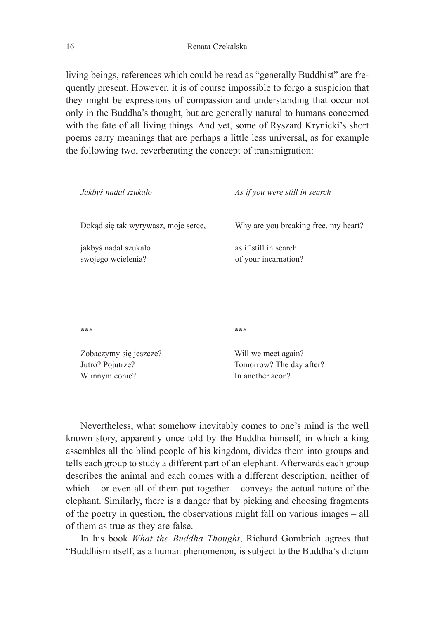living beings, references which could be read as "generally Buddhist" are frequently present. However, it is of course impossible to forgo a suspicion that they might be expressions of compassion and understanding that occur not only in the Buddha's thought, but are generally natural to humans concerned with the fate of all living things. And yet, some of Ryszard Krynicki's short poems carry meanings that are perhaps a little less universal, as for example the following two, reverberating the concept of transmigration:

| Jakbyś nadal szukało                                         | As if you were still in search                                      |
|--------------------------------------------------------------|---------------------------------------------------------------------|
| Dokad się tak wyrywasz, moje serce,                          | Why are you breaking free, my heart?                                |
| jakbyś nadal szukało<br>swojego wcielenia?                   | as if still in search<br>of your incarnation?                       |
| ***                                                          | ***                                                                 |
| Zobaczymy się jeszcze?<br>Jutro? Pojutrze?<br>W innym eonie? | Will we meet again?<br>Tomorrow? The day after?<br>In another aeon? |

Nevertheless, what somehow inevitably comes to one's mind is the well known story, apparently once told by the Buddha himself, in which a king assembles all the blind people of his kingdom, divides them into groups and tells each group to study a different part of an elephant. Afterwards each group describes the animal and each comes with a different description, neither of which – or even all of them put together – conveys the actual nature of the elephant. Similarly, there is a danger that by picking and choosing fragments of the poetry in question, the observations might fall on various images – all of them as true as they are false.

In his book *What the Buddha Thought*, Richard Gombrich agrees that "Buddhism itself, as a human phenomenon, is subject to the Buddha's dictum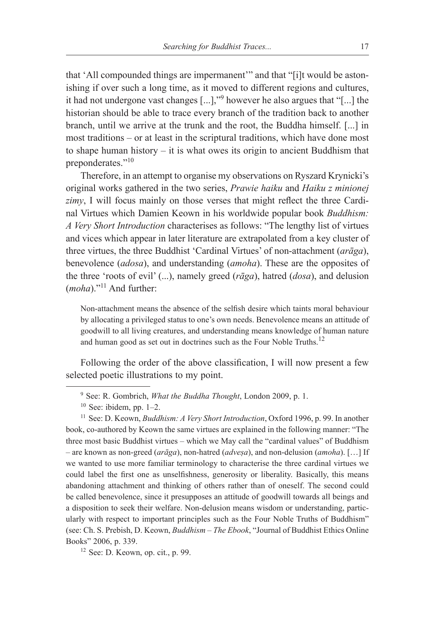that 'All compounded things are impermanent'" and that "[i]t would be astonishing if over such a long time, as it moved to different regions and cultures, it had not undergone vast changes [...],"9 however he also argues that "[...] the historian should be able to trace every branch of the tradition back to another branch, until we arrive at the trunk and the root, the Buddha himself. [...] in most traditions – or at least in the scriptural traditions, which have done most to shape human history – it is what owes its origin to ancient Buddhism that preponderates."<sup>10</sup>

Therefore, in an attempt to organise my observations on Ryszard Krynicki's original works gathered in the two series, *Prawie haiku* and *Haiku z minionej zimy*, I will focus mainly on those verses that might reflect the three Cardinal Virtues which Damien Keown in his worldwide popular book *Buddhism: A Very Short Introduction* characterises as follows: "The lengthy list of virtues and vices which appear in later literature are extrapolated from a key cluster of three virtues, the three Buddhist 'Cardinal Virtues' of non-attachment (*arāga*), benevolence (*adosa*), and understanding (*amoha*). These are the opposites of the three 'roots of evil' (...), namely greed (*rāga*), hatred (*dosa*), and delusion (*moha*)."<sup>11</sup> And further:

Non-attachment means the absence of the selfish desire which taints moral behaviour by allocating a privileged status to one's own needs. Benevolence means an attitude of goodwill to all living creatures, and understanding means knowledge of human nature and human good as set out in doctrines such as the Four Noble Truths.<sup>12</sup>

Following the order of the above classification, I will now present a few selected poetic illustrations to my point.

 $12$  See: D. Keown, op. cit., p. 99.

<sup>9</sup> See: R. Gombrich, *What the Buddha Thought*, London 2009, p. 1.

 $10$  See: ibidem, pp. 1–2.

<sup>11</sup> See: D. Keown, *Buddhism: A Very Short Introduction*, Oxford 1996, p. 99. In another book, co-authored by Keown the same virtues are explained in the following manner: "The three most basic Buddhist virtues – which we May call the "cardinal values" of Buddhism – are known as non-greed (*arāga*), non-hatred (*adveṣa*), and non-delusion (*amoha*). […] If we wanted to use more familiar terminology to characterise the three cardinal virtues we could label the first one as unselfishness, generosity or liberality. Basically, this means abandoning attachment and thinking of others rather than of oneself. The second could be called benevolence, since it presupposes an attitude of goodwill towards all beings and a disposition to seek their welfare. Non-delusion means wisdom or understanding, particularly with respect to important principles such as the Four Noble Truths of Buddhism" (see: Ch. S. Prebish, D. Keown, *Buddhism – The Ebook*, "Journal of Buddhist Ethics Online Books" 2006, p. 339.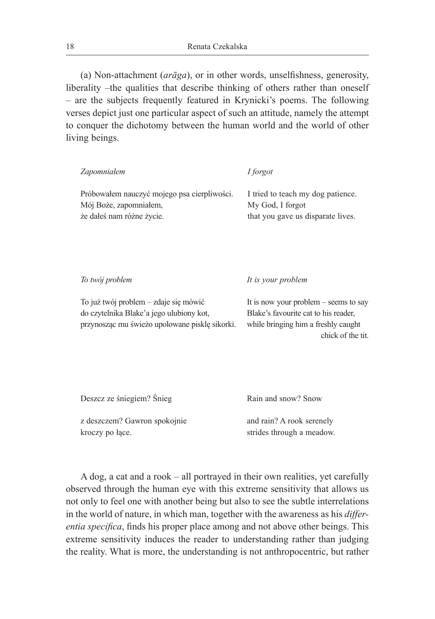(a) Non-attachment (*arāga*), or in other words, unselfishness, generosity, liberality –the qualities that describe thinking of others rather than oneself – are the subjects frequently featured in Krynicki's poems. The following verses depict just one particular aspect of such an attitude, namely the attempt to conquer the dichotomy between the human world and the world of other living beings.

| Zapomniałem                                                                                                                         | I forgot                                                                                                                                    |
|-------------------------------------------------------------------------------------------------------------------------------------|---------------------------------------------------------------------------------------------------------------------------------------------|
| Próbowałem nauczyć mojego psa cierpliwości.<br>Mój Boże, zapomniałem,<br>ze dałeś nam różne życie.                                  | I tried to teach my dog patience.<br>My God, I forgot<br>that you gave us disparate lives.                                                  |
| To twój problem                                                                                                                     | It is your problem                                                                                                                          |
| To już twój problem – zdaje się mówić<br>do czytelnika Blake'a jego ulubiony kot,<br>przynosząc mu świeżo upolowane pisklę sikorki. | It is now your problem $-$ seems to say<br>Blake's favourite cat to his reader,<br>while bringing him a freshly caught<br>chick of the tit. |

| Deszcz ze śniegiem? Snieg    | Rain and snow? Snow       |  |
|------------------------------|---------------------------|--|
| z deszczem? Gawron spokojnie | and rain? A rook serenely |  |
| kroczy po łące.              | strides through a meadow. |  |

A dog, a cat and a rook – all portrayed in their own realities, yet carefully observed through the human eye with this extreme sensitivity that allows us not only to feel one with another being but also to see the subtle interrelations in the world of nature, in which man, together with the awareness as his *differentia specifica*, finds his proper place among and not above other beings. This extreme sensitivity induces the reader to understanding rather than judging the reality. What is more, the understanding is not anthropocentric, but rather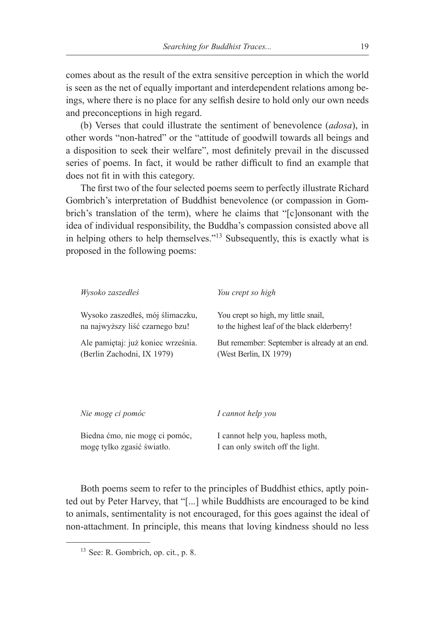comes about as the result of the extra sensitive perception in which the world is seen as the net of equally important and interdependent relations among beings, where there is no place for any selfish desire to hold only our own needs and preconceptions in high regard.

(b) Verses that could illustrate the sentiment of benevolence (*adosa*), in other words "non-hatred" or the "attitude of goodwill towards all beings and a disposition to seek their welfare", most definitely prevail in the discussed series of poems. In fact, it would be rather difficult to find an example that does not fit in with this category.

The first two of the four selected poems seem to perfectly illustrate Richard Gombrich's interpretation of Buddhist benevolence (or compassion in Gombrich's translation of the term), where he claims that "[c]onsonant with the idea of individual responsibility, the Buddha's compassion consisted above all in helping others to help themselves."13 Subsequently, this is exactly what is proposed in the following poems:

| Wysoko zaszedłeś                   | You crept so high                             |
|------------------------------------|-----------------------------------------------|
| Wysoko zaszedłeś, mój ślimaczku,   | You crept so high, my little snail,           |
| na najwyższy liść czarnego bzu!    | to the highest leaf of the black elderberry!  |
| Ale pamiętaj: już koniec września. | But remember: September is already at an end. |
| (Berlin Zachodni, IX 1979)         | (West Berlin, IX 1979)                        |
| Nie mogę ci pomóc                  | I cannot help you                             |
| Biedna ćmo, nie mogę ci pomóc,     | I cannot help you, hapless moth,              |
| mogę tylko zgasić światło.         | I can only switch off the light.              |

Both poems seem to refer to the principles of Buddhist ethics, aptly pointed out by Peter Harvey, that "[...] while Buddhists are encouraged to be kind to animals, sentimentality is not encouraged, for this goes against the ideal of non-attachment. In principle, this means that loving kindness should no less

 $13$  See: R. Gombrich, op. cit., p. 8.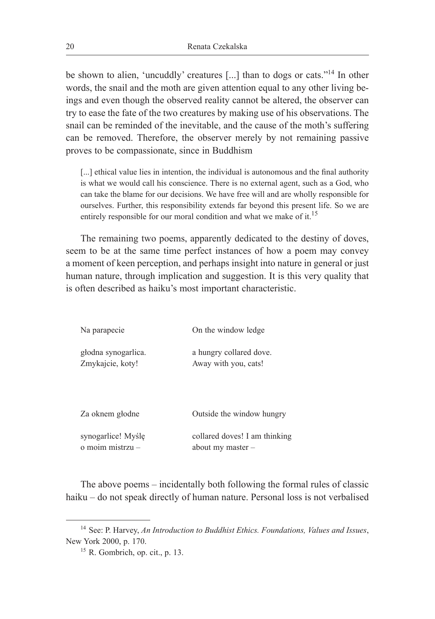be shown to alien, 'uncuddly' creatures [...] than to dogs or cats."14 In other words, the snail and the moth are given attention equal to any other living beings and even though the observed reality cannot be altered, the observer can try to ease the fate of the two creatures by making use of his observations. The snail can be reminded of the inevitable, and the cause of the moth's suffering can be removed. Therefore, the observer merely by not remaining passive proves to be compassionate, since in Buddhism

[...] ethical value lies in intention, the individual is autonomous and the final authority is what we would call his conscience. There is no external agent, such as a God, who can take the blame for our decisions. We have free will and are wholly responsible for ourselves. Further, this responsibility extends far beyond this present life. So we are entirely responsible for our moral condition and what we make of it.<sup>15</sup>

The remaining two poems, apparently dedicated to the destiny of doves, seem to be at the same time perfect instances of how a poem may convey a moment of keen perception, and perhaps insight into nature in general or just human nature, through implication and suggestion. It is this very quality that is often described as haiku's most important characteristic.

| Na parapecie        | On the window ledge           |
|---------------------|-------------------------------|
| głodna synogarlica. | a hungry collared dove.       |
| Zmykajcie, koty!    | Away with you, cats!          |
| Za oknem głodne     | Outside the window hungry     |
| synogarlice! Myślę  | collared doves! I am thinking |
| o moim mistrzu -    | about my master -             |

The above poems – incidentally both following the formal rules of classic haiku – do not speak directly of human nature. Personal loss is not verbalised

<sup>14</sup> See: P. Harvey, *An Introduction to Buddhist Ethics. Foundations, Values and Issues*, New York 2000, p. 170.

 $15$  R. Gombrich, op. cit., p. 13.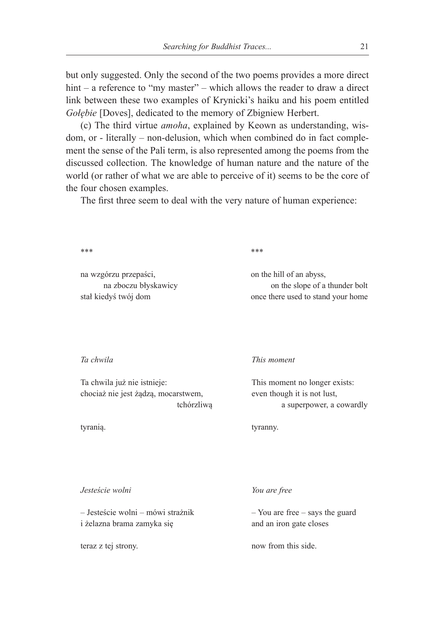but only suggested. Only the second of the two poems provides a more direct hint – a reference to "my master" – which allows the reader to draw a direct link between these two examples of Krynicki's haiku and his poem entitled *Gołębie* [Doves], dedicated to the memory of Zbigniew Herbert.

(c) The third virtue *amoha*, explained by Keown as understanding, wisdom, or - literally – non-delusion, which when combined do in fact complement the sense of the Pali term, is also represented among the poems from the discussed collection. The knowledge of human nature and the nature of the world (or rather of what we are able to perceive of it) seems to be the core of the four chosen examples.

The first three seem to deal with the very nature of human experience:

\*\*\*

na wzgórzu przepaści, na zboczu błyskawicy stał kiedyś twój dom

\*\*\*

on the hill of an abyss, on the slope of a thunder bolt once there used to stand your home

*Ta chwila*

Ta chwila już nie istnieje: chociaż nie jest żądzą, mocarstwem, tchórzliwą

tyranią.

*This moment*

This moment no longer exists: even though it is not lust, a superpower, a cowardly

tyranny.

*Jesteście wolni*

– Jesteście wolni – mówi strażnik i żelazna brama zamyka się

teraz z tej strony.

*You are free*

– You are free – says the guard and an iron gate closes

now from this side.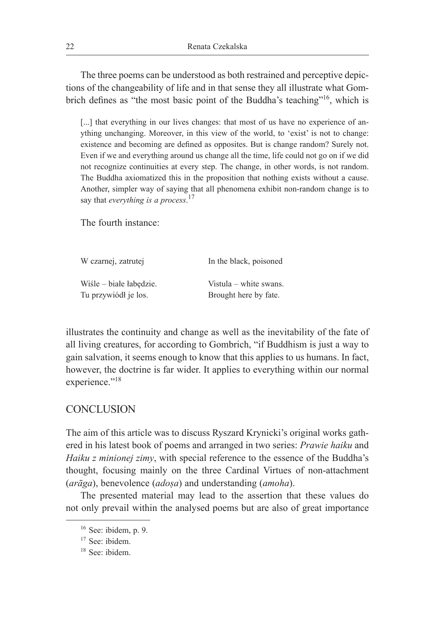The three poems can be understood as both restrained and perceptive depictions of the changeability of life and in that sense they all illustrate what Gombrich defines as "the most basic point of the Buddha's teaching"16, which is

[...] that everything in our lives changes: that most of us have no experience of anything unchanging. Moreover, in this view of the world, to 'exist' is not to change: existence and becoming are defined as opposites. But is change random? Surely not. Even if we and everything around us change all the time, life could not go on if we did not recognize continuities at every step. The change, in other words, is not random. The Buddha axiomatized this in the proposition that nothing exists without a cause. Another, simpler way of saying that all phenomena exhibit non-random change is to say that *everything is a process*. 17

The fourth instance:

| W czarnej, zatrutej     | In the black, poisoned |  |
|-------------------------|------------------------|--|
| Wisle – białe łabedzie. | Vistula – white swans. |  |
| Tu przywiódł je los.    | Brought here by fate.  |  |

illustrates the continuity and change as well as the inevitability of the fate of all living creatures, for according to Gombrich, "if Buddhism is just a way to gain salvation, it seems enough to know that this applies to us humans. In fact, however, the doctrine is far wider. It applies to everything within our normal experience."<sup>18</sup>

#### **CONCLUSION**

The aim of this article was to discuss Ryszard Krynicki's original works gathered in his latest book of poems and arranged in two series: *Prawie haiku* and *Haiku z minionej zimy*, with special reference to the essence of the Buddha's thought, focusing mainly on the three Cardinal Virtues of non-attachment (*arāga*), benevolence (*adoṣa*) and understanding (*amoha*).

The presented material may lead to the assertion that these values do not only prevail within the analysed poems but are also of great importance

<sup>16</sup> See: ibidem, p. 9.

<sup>17</sup> See: ibidem.

<sup>18</sup> See: ibidem.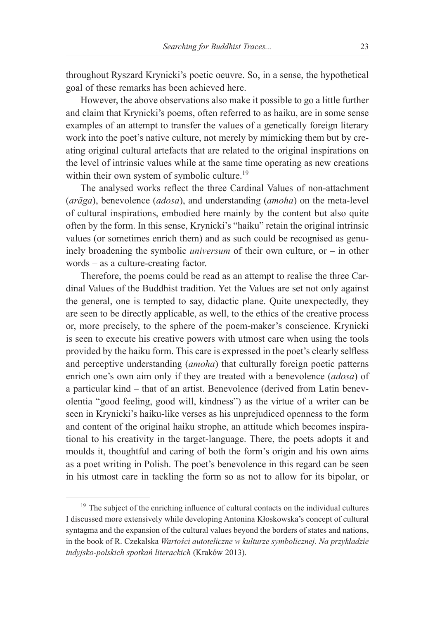throughout Ryszard Krynicki's poetic oeuvre. So, in a sense, the hypothetical goal of these remarks has been achieved here.

However, the above observations also make it possible to go a little further and claim that Krynicki's poems, often referred to as haiku, are in some sense examples of an attempt to transfer the values of a genetically foreign literary work into the poet's native culture, not merely by mimicking them but by creating original cultural artefacts that are related to the original inspirations on the level of intrinsic values while at the same time operating as new creations within their own system of symbolic culture.<sup>19</sup>

The analysed works reflect the three Cardinal Values of non-attachment (*arāga*), benevolence (*adosa*), and understanding (*amoha*) on the meta-level of cultural inspirations, embodied here mainly by the content but also quite often by the form. In this sense, Krynicki's "haiku" retain the original intrinsic values (or sometimes enrich them) and as such could be recognised as genuinely broadening the symbolic *universum* of their own culture, or – in other words – as a culture-creating factor.

Therefore, the poems could be read as an attempt to realise the three Cardinal Values of the Buddhist tradition. Yet the Values are set not only against the general, one is tempted to say, didactic plane. Quite unexpectedly, they are seen to be directly applicable, as well, to the ethics of the creative process or, more precisely, to the sphere of the poem-maker's conscience. Krynicki is seen to execute his creative powers with utmost care when using the tools provided by the haiku form. This care is expressed in the poet's clearly selfless and perceptive understanding (*amoha*) that culturally foreign poetic patterns enrich one's own aim only if they are treated with a benevolence (*adosa*) of a particular kind – that of an artist. Benevolence (derived from Latin benevolentia "good feeling, good will, kindness") as the virtue of a writer can be seen in Krynicki's haiku-like verses as his unprejudiced openness to the form and content of the original haiku strophe, an attitude which becomes inspirational to his creativity in the target-language. There, the poets adopts it and moulds it, thoughtful and caring of both the form's origin and his own aims as a poet writing in Polish. The poet's benevolence in this regard can be seen in his utmost care in tackling the form so as not to allow for its bipolar, or

<sup>&</sup>lt;sup>19</sup> The subject of the enriching influence of cultural contacts on the individual cultures I discussed more extensively while developing Antonina Kłoskowska's concept of cultural syntagma and the expansion of the cultural values beyond the borders of states and nations, in the book of R. Czekalska *Wartości autoteliczne w kulturze symbolicznej. Na przykładzie indyjsko-polskich spotkań literackich* (Kraków 2013).